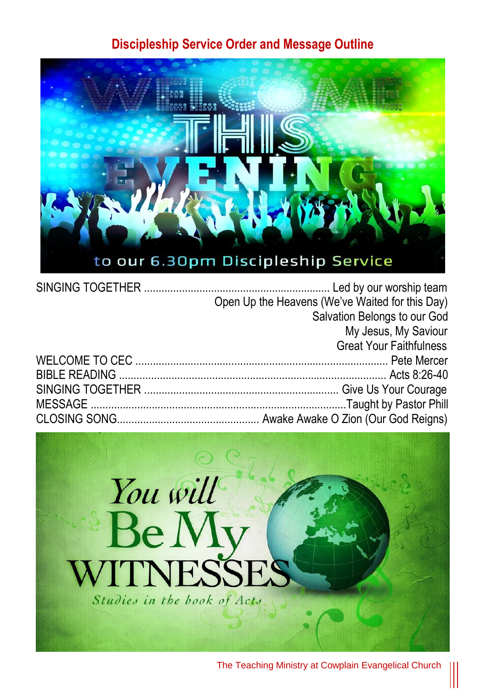## **Discipleship Service Order and Message Outline**



| Open Up the Heavens (We've Waited for this Day) |
|-------------------------------------------------|
| Salvation Belongs to our God                    |
| My Jesus, My Saviour                            |
| <b>Great Your Faithfulness</b>                  |
|                                                 |
|                                                 |
|                                                 |
|                                                 |
|                                                 |



The Teaching Ministry at Cowplain Evangelical Church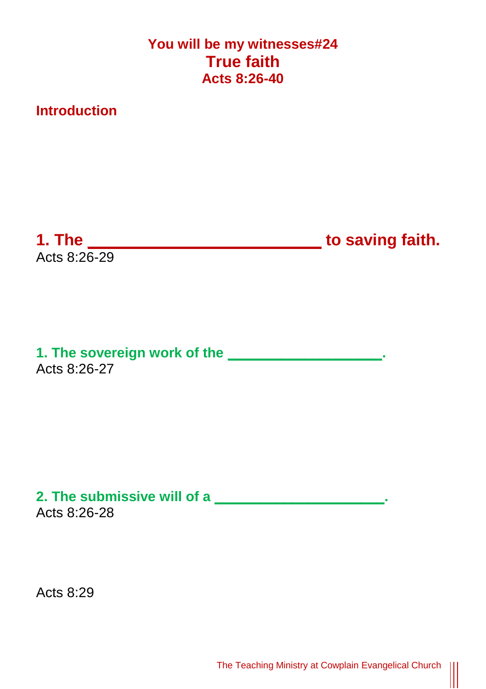## **You will be my witnesses#24 True faith Acts 8:26-40**

**Introduction**

Acts 8:26-29

**1. The \_\_\_\_\_\_\_\_\_\_\_\_\_\_\_\_\_\_\_\_\_\_\_\_\_\_ to saving faith.**

**1. The sovereign work of the \_\_\_\_\_\_\_\_\_\_\_\_\_\_\_\_\_\_\_\_.** Acts 8:26-27

**2. The submissive will of a \_\_\_\_\_\_\_\_\_\_\_\_\_\_\_\_\_\_\_\_\_\_.** Acts 8:26-28

Acts 8:29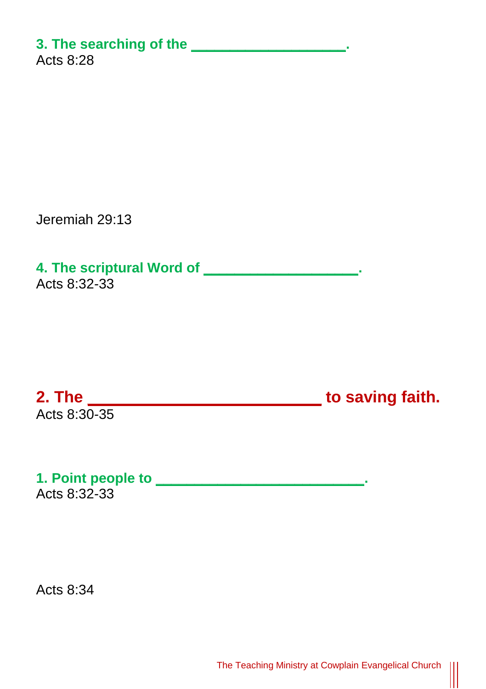## **3. The searching of the \_\_\_\_\_\_\_\_\_\_\_\_\_\_\_\_\_\_\_\_.**

Acts 8:28

Jeremiah 29:13

**4. The scriptural Word of \_\_\_\_\_\_\_\_\_\_\_\_\_\_\_\_\_\_\_\_.** Acts 8:32-33

Acts 8:30-35

**2. The \_\_\_\_\_\_\_\_\_\_\_\_\_\_\_\_\_\_\_\_\_\_\_\_\_\_ to saving faith.**

 $\parallel$ 

**1. Point people to** Acts 8:32-33

Acts  $8:34$ 

The Teaching Ministry at Cowplain Evangelical Church